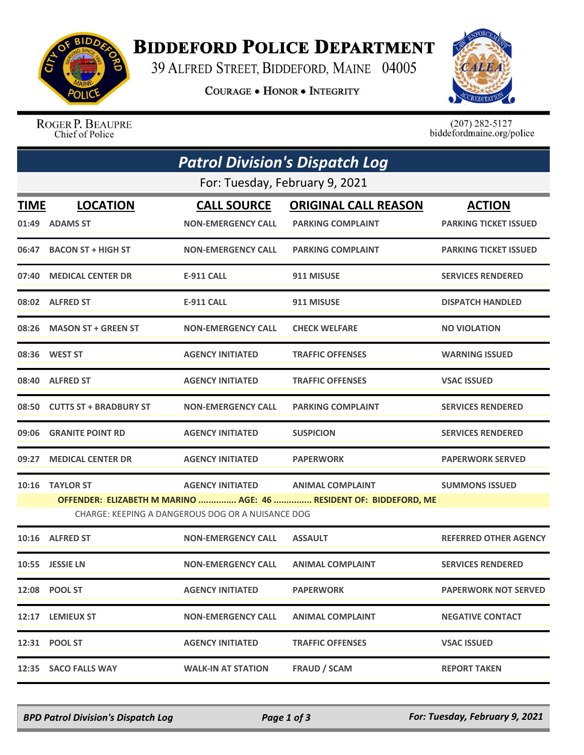

## **BIDDEFORD POLICE DEPARTMENT**

39 ALFRED STREET, BIDDEFORD, MAINE 04005

**COURAGE . HONOR . INTEGRITY** 



ROGER P. BEAUPRE Chief of Police

 $(207)$  282-5127<br>biddefordmaine.org/police

| <b>Patrol Division's Dispatch Log</b><br>For: Tuesday, February 9, 2021 |                              |                                                   |                                                                   |                              |  |  |  |
|-------------------------------------------------------------------------|------------------------------|---------------------------------------------------|-------------------------------------------------------------------|------------------------------|--|--|--|
|                                                                         |                              |                                                   |                                                                   |                              |  |  |  |
|                                                                         | 01:49 ADAMS ST               | <b>NON-EMERGENCY CALL</b>                         | <b>PARKING COMPLAINT</b>                                          | <b>PARKING TICKET ISSUED</b> |  |  |  |
|                                                                         | 06:47 BACON ST + HIGH ST     | <b>NON-EMERGENCY CALL</b>                         | <b>PARKING COMPLAINT</b>                                          | <b>PARKING TICKET ISSUED</b> |  |  |  |
|                                                                         | 07:40 MEDICAL CENTER DR      | <b>E-911 CALL</b>                                 | 911 MISUSE                                                        | <b>SERVICES RENDERED</b>     |  |  |  |
|                                                                         | 08:02 ALFRED ST              | <b>E-911 CALL</b>                                 | 911 MISUSE                                                        | <b>DISPATCH HANDLED</b>      |  |  |  |
|                                                                         | 08:26 MASON ST + GREEN ST    | <b>NON-EMERGENCY CALL</b>                         | <b>CHECK WELFARE</b>                                              | <b>NO VIOLATION</b>          |  |  |  |
|                                                                         | 08:36 WEST ST                | <b>AGENCY INITIATED</b>                           | <b>TRAFFIC OFFENSES</b>                                           | <b>WARNING ISSUED</b>        |  |  |  |
|                                                                         | 08:40 ALFRED ST              | <b>AGENCY INITIATED</b>                           | <b>TRAFFIC OFFENSES</b>                                           | <b>VSAC ISSUED</b>           |  |  |  |
|                                                                         | 08:50 CUTTS ST + BRADBURY ST | <b>NON-EMERGENCY CALL</b>                         | <b>PARKING COMPLAINT</b>                                          | <b>SERVICES RENDERED</b>     |  |  |  |
|                                                                         | 09:06 GRANITE POINT RD       | <b>AGENCY INITIATED</b>                           | <b>SUSPICION</b>                                                  | <b>SERVICES RENDERED</b>     |  |  |  |
|                                                                         | 09:27 MEDICAL CENTER DR      | <b>AGENCY INITIATED</b>                           | <b>PAPERWORK</b>                                                  | <b>PAPERWORK SERVED</b>      |  |  |  |
|                                                                         | 10:16 TAYLOR ST              | <b>AGENCY INITIATED</b>                           | <b>ANIMAL COMPLAINT</b>                                           | <b>SUMMONS ISSUED</b>        |  |  |  |
|                                                                         |                              | CHARGE: KEEPING A DANGEROUS DOG OR A NUISANCE DOG | OFFENDER: ELIZABETH M MARINO  AGE: 46  RESIDENT OF: BIDDEFORD, ME |                              |  |  |  |
|                                                                         | 10:16 ALFRED ST              | <b>NON-EMERGENCY CALL</b>                         | <b>ASSAULT</b>                                                    | <b>REFERRED OTHER AGENCY</b> |  |  |  |
|                                                                         | 10:55 JESSIE LN              | <b>NON-EMERGENCY CALL</b>                         | <b>ANIMAL COMPLAINT</b>                                           | <b>SERVICES RENDERED</b>     |  |  |  |
|                                                                         | 12:08 POOL ST                | <b>AGENCY INITIATED</b>                           | <b>PAPERWORK</b>                                                  | <b>PAPERWORK NOT SERVED</b>  |  |  |  |
|                                                                         | 12:17 LEMIEUX ST             | <b>NON-EMERGENCY CALL</b>                         | <b>ANIMAL COMPLAINT</b>                                           | <b>NEGATIVE CONTACT</b>      |  |  |  |
|                                                                         | 12:31 POOL ST                | <b>AGENCY INITIATED</b>                           | <b>TRAFFIC OFFENSES</b>                                           | <b>VSAC ISSUED</b>           |  |  |  |
|                                                                         | 12:35 SACO FALLS WAY         | <b>WALK-IN AT STATION</b>                         | <b>FRAUD / SCAM</b>                                               | <b>REPORT TAKEN</b>          |  |  |  |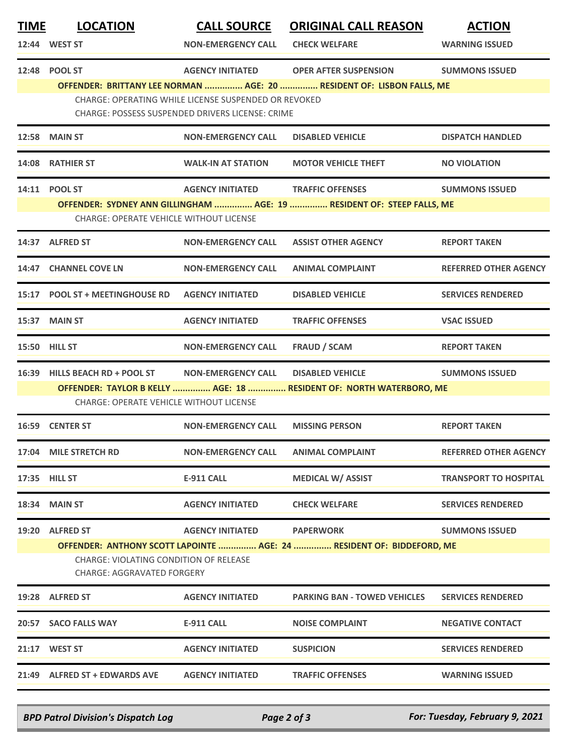| <b>TIME</b> | <b>LOCATION</b>                                                                                                                               | <b>CALL SOURCE</b>        | <b>ORIGINAL CALL REASON</b>                                                                           | <b>ACTION</b>                |  |  |
|-------------|-----------------------------------------------------------------------------------------------------------------------------------------------|---------------------------|-------------------------------------------------------------------------------------------------------|------------------------------|--|--|
|             | 12:44 WEST ST                                                                                                                                 | <b>NON-EMERGENCY CALL</b> | <b>CHECK WELFARE</b>                                                                                  | <b>WARNING ISSUED</b>        |  |  |
|             | 12:48 POOL ST                                                                                                                                 | <b>AGENCY INITIATED</b>   | <b>OPER AFTER SUSPENSION</b><br>OFFENDER: BRITTANY LEE NORMAN  AGE: 20  RESIDENT OF: LISBON FALLS, ME | <b>SUMMONS ISSUED</b>        |  |  |
|             | CHARGE: OPERATING WHILE LICENSE SUSPENDED OR REVOKED<br>CHARGE: POSSESS SUSPENDED DRIVERS LICENSE: CRIME                                      |                           |                                                                                                       |                              |  |  |
|             | <b>12:58 MAIN ST</b>                                                                                                                          | <b>NON-EMERGENCY CALL</b> | <b>DISABLED VEHICLE</b>                                                                               | <b>DISPATCH HANDLED</b>      |  |  |
|             | 14:08 RATHIER ST                                                                                                                              | <b>WALK-IN AT STATION</b> | <b>MOTOR VEHICLE THEFT</b>                                                                            | <b>NO VIOLATION</b>          |  |  |
|             | 14:11 POOL ST                                                                                                                                 | <b>AGENCY INITIATED</b>   | <b>TRAFFIC OFFENSES</b>                                                                               | <b>SUMMONS ISSUED</b>        |  |  |
|             | OFFENDER: SYDNEY ANN GILLINGHAM  AGE: 19  RESIDENT OF: STEEP FALLS, ME<br><b>CHARGE: OPERATE VEHICLE WITHOUT LICENSE</b>                      |                           |                                                                                                       |                              |  |  |
|             | 14:37 ALFRED ST                                                                                                                               | <b>NON-EMERGENCY CALL</b> | <b>ASSIST OTHER AGENCY</b>                                                                            | <b>REPORT TAKEN</b>          |  |  |
|             | 14:47 CHANNEL COVE LN                                                                                                                         | <b>NON-EMERGENCY CALL</b> | <b>ANIMAL COMPLAINT</b>                                                                               | <b>REFERRED OTHER AGENCY</b> |  |  |
|             | 15:17 POOL ST + MEETINGHOUSE RD                                                                                                               | <b>AGENCY INITIATED</b>   | <b>DISABLED VEHICLE</b>                                                                               | <b>SERVICES RENDERED</b>     |  |  |
|             | 15:37 MAIN ST                                                                                                                                 | <b>AGENCY INITIATED</b>   | <b>TRAFFIC OFFENSES</b>                                                                               | <b>VSAC ISSUED</b>           |  |  |
|             | 15:50 HILL ST                                                                                                                                 | <b>NON-EMERGENCY CALL</b> | <b>FRAUD / SCAM</b>                                                                                   | <b>REPORT TAKEN</b>          |  |  |
| 16:39       | <b>HILLS BEACH RD + POOL ST</b>                                                                                                               | <b>NON-EMERGENCY CALL</b> | <b>DISABLED VEHICLE</b>                                                                               | <b>SUMMONS ISSUED</b>        |  |  |
|             | CHARGE: OPERATE VEHICLE WITHOUT LICENSE                                                                                                       |                           | OFFENDER: TAYLOR B KELLY  AGE: 18  RESIDENT OF: NORTH WATERBORO, ME                                   |                              |  |  |
|             |                                                                                                                                               |                           |                                                                                                       |                              |  |  |
|             | 16:59 CENTER ST                                                                                                                               | <b>NON-EMERGENCY CALL</b> | <b>MISSING PERSON</b>                                                                                 | <b>REPORT TAKEN</b>          |  |  |
|             | 17:04 MILE STRETCH RD                                                                                                                         | <b>NON-EMERGENCY CALL</b> | <b>ANIMAL COMPLAINT</b>                                                                               | <b>REFERRED OTHER AGENCY</b> |  |  |
|             | 17:35 HILL ST                                                                                                                                 | <b>E-911 CALL</b>         | <b>MEDICAL W/ ASSIST</b>                                                                              | <b>TRANSPORT TO HOSPITAL</b> |  |  |
|             | 18:34 MAIN ST                                                                                                                                 | <b>AGENCY INITIATED</b>   | <b>CHECK WELFARE</b>                                                                                  | <b>SERVICES RENDERED</b>     |  |  |
| 19:20       | <b>ALFRED ST</b>                                                                                                                              | <b>AGENCY INITIATED</b>   | <b>PAPERWORK</b>                                                                                      | <b>SUMMONS ISSUED</b>        |  |  |
|             | OFFENDER: ANTHONY SCOTT LAPOINTE  AGE: 24  RESIDENT OF: BIDDEFORD, ME<br>CHARGE: VIOLATING CONDITION OF RELEASE<br>CHARGE: AGGRAVATED FORGERY |                           |                                                                                                       |                              |  |  |
|             | 19:28 ALFRED ST                                                                                                                               | <b>AGENCY INITIATED</b>   | <b>PARKING BAN - TOWED VEHICLES</b>                                                                   | <b>SERVICES RENDERED</b>     |  |  |
|             | 20:57 SACO FALLS WAY                                                                                                                          | <b>E-911 CALL</b>         | <b>NOISE COMPLAINT</b>                                                                                | <b>NEGATIVE CONTACT</b>      |  |  |
|             | 21:17 WEST ST                                                                                                                                 | <b>AGENCY INITIATED</b>   | <b>SUSPICION</b>                                                                                      | <b>SERVICES RENDERED</b>     |  |  |
|             | 21:49 ALFRED ST + EDWARDS AVE                                                                                                                 | <b>AGENCY INITIATED</b>   | <b>TRAFFIC OFFENSES</b>                                                                               | <b>WARNING ISSUED</b>        |  |  |
|             |                                                                                                                                               |                           |                                                                                                       |                              |  |  |

*BPD Patrol Division's Dispatch Log Page 2 of 3 For: Tuesday, February 9, 2021*